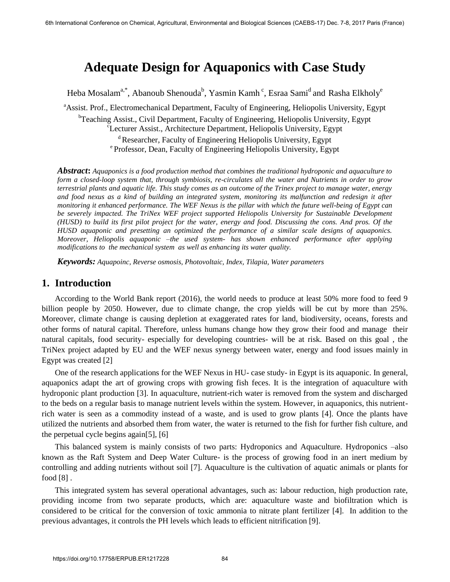# **Adequate Design for Aquaponics with Case Study**

Heba Mosalam<sup>a,\*</sup>, Abanoub Shenouda<sup>b</sup>, Yasmin Kamh <sup>c</sup>, Esraa Sami<sup>d</sup> and Rasha Elkholy<sup>e</sup> <sup>a</sup>Assist. Prof., Electromechanical Department, Faculty of Engineering, Heliopolis University, Egypt <sup>b</sup>Teaching Assist., Civil Department, Faculty of Engineering, Heliopolis University, Egypt <sup>c</sup>Lecturer Assist., Architecture Department, Heliopolis University, Egypt <sup>d</sup> Researcher, Faculty of Engineering Heliopolis University, Egypt

e Professor, Dean, Faculty of Engineering Heliopolis University, Egypt

*Abstract***:** *Aquaponics is a food production method that combines the traditional hydroponic and aquaculture to form a closed-loop system that, through symbiosis, re-circulates all the water and Nutrients in order to grow terrestrial plants and aquatic life. This study comes as an outcome of the Trinex project to manage water, energy and food nexus as a kind of building an integrated system, monitoring its malfunction and redesign it after monitoring it enhanced performance. The WEF Nexus is the pillar with which the future well-being of Egypt can be severely impacted. The TriNex WEF project supported Heliopolis University for Sustainable Development (HUSD) to build its first pilot project for the water, energy and food. Discussing the cons. And pros. Of the HUSD aquaponic and presetting an optimized the performance of a similar scale designs of aquaponics. Moreover, Heliopolis aquaponic –the used system- has shown enhanced performance after applying modifications to the mechanical system as well as enhancing its water quality.* 

*Keywords: Aquapoinc, Reverse osmosis, Photovoltaic, Index, Tilapia, Water parameters*

### **1. Introduction**

According to the World Bank report (2016), the world needs to produce at least 50% more food to feed 9 billion people by 2050. However, due to climate change, the crop yields will be cut by more than 25%. Moreover, climate change is causing depletion at exaggerated rates for land, biodiversity, oceans, forests and other forms of natural capital. Therefore, unless humans change how they grow their food and manage their natural capitals, food security- especially for developing countries- will be at risk. Based on this goal , the TriNex project adapted by EU and the WEF nexus synergy between water, energy and food issues mainly in Egypt was created [2]

One of the research applications for the WEF Nexus in HU- case study- in Egypt is its aquaponic. In general, aquaponics adapt the art of growing crops with growing fish feces. It is the integration of aquaculture with hydroponic plant production [3]. In aquaculture, nutrient-rich water is removed from the system and discharged to the beds on a regular basis to manage nutrient levels within the system. However, in aquaponics, this nutrientrich water is seen as a commodity instead of a waste, and is used to grow plants [4]. Once the plants have utilized the nutrients and absorbed them from water, the water is returned to the fish for further fish culture, and the perpetual cycle begins again[5], [6]

This balanced system is mainly consists of two parts: Hydroponics and Aquaculture. Hydroponics –also known as the Raft System and Deep Water Culture- is the process of growing food in an inert medium by controlling and adding nutrients without soil [7]. Aquaculture is the cultivation of aquatic animals or plants for food [8] .

This integrated system has several operational advantages, such as: labour reduction, high production rate, providing income from two separate products, which are: aquaculture waste and biofiltration which is considered to be critical for the conversion of toxic ammonia to nitrate plant fertilizer [4]. In addition to the previous advantages, it controls the PH levels which leads to efficient nitrification [9].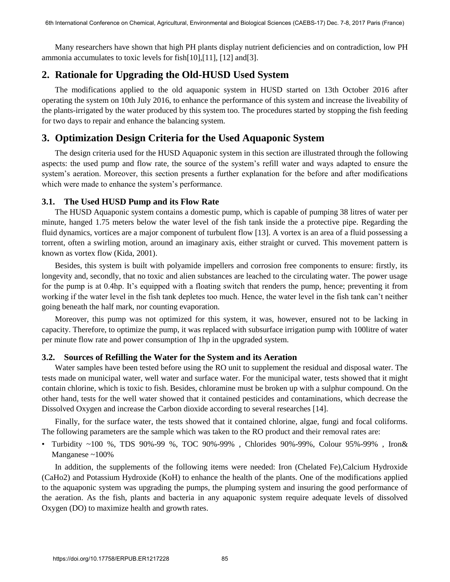Many researchers have shown that high PH plants display nutrient deficiencies and on contradiction, low PH ammonia accumulates to toxic levels for fish[10],[11], [12] and[3].

# **2. Rationale for Upgrading the Old-HUSD Used System**

The modifications applied to the old aquaponic system in HUSD started on 13th October 2016 after operating the system on 10th July 2016, to enhance the performance of this system and increase the liveability of the plants-irrigated by the water produced by this system too. The procedures started by stopping the fish feeding for two days to repair and enhance the balancing system.

## **3. Optimization Design Criteria for the Used Aquaponic System**

The design criteria used for the HUSD Aquaponic system in this section are illustrated through the following aspects: the used pump and flow rate, the source of the system's refill water and ways adapted to ensure the system's aeration. Moreover, this section presents a further explanation for the before and after modifications which were made to enhance the system's performance.

#### **3.1. The Used HUSD Pump and its Flow Rate**

The HUSD Aquaponic system contains a domestic pump, which is capable of pumping 38 litres of water per minute, hanged 1.75 meters below the water level of the fish tank inside the a protective pipe. Regarding the fluid dynamics, vortices are a major component of turbulent flow [13]. A vortex is an area of a fluid possessing a torrent, often a swirling motion, around an imaginary axis, either straight or curved. This movement pattern is known as vortex flow (Kida, 2001).

Besides, this system is built with polyamide impellers and corrosion free components to ensure: firstly, its longevity and, secondly, that no toxic and alien substances are leached to the circulating water. The power usage for the pump is at 0.4hp. It's equipped with a floating switch that renders the pump, hence; preventing it from working if the water level in the fish tank depletes too much. Hence, the water level in the fish tank can't neither going beneath the half mark, nor counting evaporation.

Moreover, this pump was not optimized for this system, it was, however, ensured not to be lacking in capacity. Therefore, to optimize the pump, it was replaced with subsurface irrigation pump with 100litre of water per minute flow rate and power consumption of 1hp in the upgraded system.

### **3.2. Sources of Refilling the Water for the System and its Aeration**

Water samples have been tested before using the RO unit to supplement the residual and disposal water. The tests made on municipal water, well water and surface water. For the municipal water, tests showed that it might contain chlorine, which is toxic to fish. Besides, chloramine must be broken up with a sulphur compound. On the other hand, tests for the well water showed that it contained pesticides and contaminations, which decrease the Dissolved Oxygen and increase the Carbon dioxide according to several researches [14].

Finally, for the surface water, the tests showed that it contained chlorine, algae, fungi and focal coliforms. The following parameters are the sample which was taken to the RO product and their removal rates are:

• Turbidity ~100 %, TDS 90%-99 %, TOC 90%-99% , Chlorides 90%-99%, Colour 95%-99% , Iron& Manganese ~100%

In addition, the supplements of the following items were needed: Iron (Chelated Fe),Calcium Hydroxide (CaHo2) and Potassium Hydroxide (KoH) to enhance the health of the plants. One of the modifications applied to the aquaponic system was upgrading the pumps, the plumping system and insuring the good performance of the aeration. As the fish, plants and bacteria in any aquaponic system require adequate levels of dissolved Oxygen (DO) to maximize health and growth rates.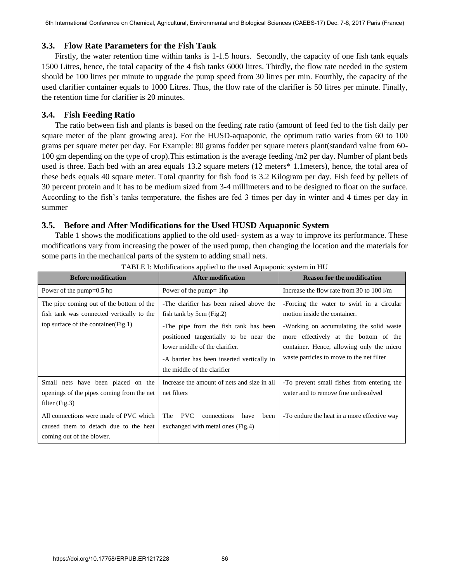### **3.3. Flow Rate Parameters for the Fish Tank**

Firstly, the water retention time within tanks is 1-1.5 hours. Secondly, the capacity of one fish tank equals 1500 Litres, hence, the total capacity of the 4 fish tanks 6000 litres. Thirdly, the flow rate needed in the system should be 100 litres per minute to upgrade the pump speed from 30 litres per min. Fourthly, the capacity of the used clarifier container equals to 1000 Litres. Thus, the flow rate of the clarifier is 50 litres per minute. Finally, the retention time for clarifier is 20 minutes.

### **3.4. Fish Feeding Ratio**

The ratio between fish and plants is based on the feeding rate ratio (amount of feed fed to the fish daily per square meter of the plant growing area). For the HUSD-aquaponic, the optimum ratio varies from 60 to 100 grams per square meter per day. For Example: 80 grams fodder per square meters plant(standard value from 60- 100 gm depending on the type of crop).This estimation is the average feeding /m2 per day. Number of plant beds used is three. Each bed with an area equals 13.2 square meters (12 meters\* 1.1meters), hence, the total area of these beds equals 40 square meter. Total quantity for fish food is 3.2 Kilogram per day. Fish feed by pellets of 30 percent protein and it has to be medium sized from 3-4 millimeters and to be designed to float on the surface. According to the fish's tanks temperature, the fishes are fed 3 times per day in winter and 4 times per day in summer

### **3.5. Before and After Modifications for the Used HUSD Aquaponic System**

Table 1 shows the modifications applied to the old used- system as a way to improve its performance. These modifications vary from increasing the power of the used pump, then changing the location and the materials for some parts in the mechanical parts of the system to adding small nets.

| <b>Before modification</b>                                                                                                      | <b>After modification</b>                                                                                                                                                                                                                                              | <b>Reason for the modification</b>                                                                                                                                                                                                                       |
|---------------------------------------------------------------------------------------------------------------------------------|------------------------------------------------------------------------------------------------------------------------------------------------------------------------------------------------------------------------------------------------------------------------|----------------------------------------------------------------------------------------------------------------------------------------------------------------------------------------------------------------------------------------------------------|
| Power of the pump= $0.5$ hp                                                                                                     | Power of the pump= $1$ hp                                                                                                                                                                                                                                              | Increase the flow rate from 30 to $100 \frac{\mu}{m}$                                                                                                                                                                                                    |
| The pipe coming out of the bottom of the<br>fish tank was connected vertically to the<br>top surface of the container $(Fig.1)$ | -The clarifier has been raised above the<br>fish tank by 5cm (Fig.2)<br>-The pipe from the fish tank has been<br>positioned tangentially to be near the<br>lower middle of the clarifier.<br>-A barrier has been inserted vertically in<br>the middle of the clarifier | -Forcing the water to swirl in a circular<br>motion inside the container.<br>-Working on accumulating the solid waste<br>more effectively at the bottom of the<br>container. Hence, allowing only the micro<br>waste particles to move to the net filter |
| Small nets have been placed on the<br>openings of the pipes coming from the net<br>filter $(Fig.3)$                             | Increase the amount of nets and size in all<br>net filters                                                                                                                                                                                                             | -To prevent small fishes from entering the<br>water and to remove fine undissolved                                                                                                                                                                       |
| All connections were made of PVC which<br>caused them to detach due to the heat<br>coming out of the blower.                    | <b>PVC</b><br>The<br>connections<br>have<br>been<br>exchanged with metal ones (Fig.4)                                                                                                                                                                                  | -To endure the heat in a more effective way                                                                                                                                                                                                              |

| TABLE I: Modifications applied to the used Aquaponic system in HU |  |
|-------------------------------------------------------------------|--|
|                                                                   |  |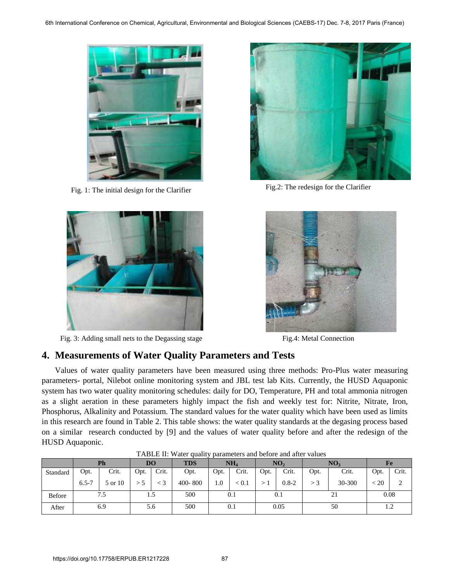

Fig. 1: The initial design for the Clarifier Fig.2: The redesign for the Clarifier



Fig. 3: Adding small nets to the Degassing stage Fig.4: Metal Connection





# **4. Measurements of Water Quality Parameters and Tests**

Values of water quality parameters have been measured using three methods: Pro-Plus water measuring parameters- portal, Nilebot online monitoring system and JBL test lab Kits. Currently, the HUSD Aquaponic system has two water quality monitoring schedules: daily for DO, Temperature, PH and total ammonia nitrogen as a slight aeration in these parameters highly impact the fish and weekly test for: Nitrite, Nitrate, Iron, Phosphorus, Alkalinity and Potassium. The standard values for the water quality which have been used as limits in this research are found in Table 2. This table shows: the water quality standards at the degasing process based on a similar research conducted by [9] and the values of water quality before and after the redesign of the HUSD Aquaponic.

|          |           | Ph      |      | DO    | <b>TDS</b> |      | NH <sub>4</sub> |      | NO <sub>2</sub> |      | NO <sub>3</sub> |      | <b>Fe</b> |
|----------|-----------|---------|------|-------|------------|------|-----------------|------|-----------------|------|-----------------|------|-----------|
| Standard | Opt.      | Crit.   | Opt. | Crit. | Opt.       | Opt. | Crit.           | Opt. | Crit.           | Opt. | Crit.           | Opt. | Crit.     |
|          | $6.5 - 7$ | 5 or 10 |      | $<$ 3 | 400-800    | 1.0  | < 0.1           |      | $0.8 - 2$       | >3   | 30-300          | < 20 | ◠<br>∠    |
| Before   |           | 7.5     |      | 1.5   | 500        |      | 0.1             |      | 0.1             |      | 21              | 0.08 |           |
| After    |           | 6.9     |      | 5.6   | 500        |      | 0.1             |      | 0.05            |      | 50              |      | 1.2       |

TABLE II: Water quality parameters and before and after values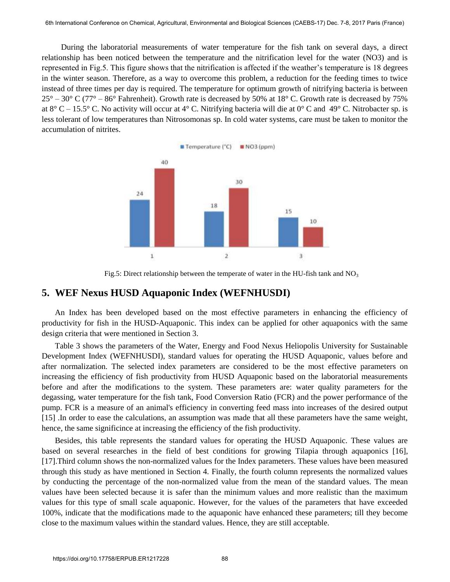During the laboratorial measurements of water temperature for the fish tank on several days, a direct relationship has been noticed between the temperature and the nitrification level for the water (NO3) and is represented in Fig.5. This figure shows that the nitrification is affected if the weather's temperature is 18 degrees in the winter season. Therefore, as a way to overcome this problem, a reduction for the feeding times to twice instead of three times per day is required. The temperature for optimum growth of nitrifying bacteria is between  $25^{\circ}$  – 30° C (77° – 86° Fahrenheit). Growth rate is decreased by 50% at 18° C. Growth rate is decreased by 75% at 8° C – 15.5° C. No activity will occur at 4° C. Nitrifying bacteria will die at 0° C and 49° C. Nitrobacter sp. is less tolerant of low temperatures than Nitrosomonas sp. In cold water systems, care must be taken to monitor the accumulation of nitrites.



Fig.5: Direct relationship between the temperate of water in the HU-fish tank and  $NO<sub>3</sub>$ 

### **5. WEF Nexus HUSD Aquaponic Index (WEFNHUSDI)**

An Index has been developed based on the most effective parameters in enhancing the efficiency of productivity for fish in the HUSD-Aquaponic. This index can be applied for other aquaponics with the same design criteria that were mentioned in Section 3.

Table 3 shows the parameters of the Water, Energy and Food Nexus Heliopolis University for Sustainable Development Index (WEFNHUSDI), standard values for operating the HUSD Aquaponic, values before and after normalization. The selected index parameters are considered to be the most effective parameters on increasing the efficiency of fish productivity from HUSD Aquaponic based on the laboratorial measurements before and after the modifications to the system. These parameters are: water quality parameters for the degassing, water temperature for the fish tank, Food Conversion Ratio (FCR) and the power performance of the pump. FCR is a measure of an animal's efficiency in converting feed mass into increases of the desired output [15] .In order to ease the calculations, an assumption was made that all these parameters have the same weight, hence, the same significince at increasing the efficiency of the fish productivity.

Besides, this table represents the standard values for operating the HUSD Aquaponic. These values are based on several researches in the field of best conditions for growing Tilapia through aquaponics [16], [17].Third column shows the non-normalized values for the Index parameters. These values have been measured through this study as have mentioned in Section 4. Finally, the fourth column represents the normalized values by conducting the percentage of the non-normalized value from the mean of the standard values. The mean values have been selected because it is safer than the minimum values and more realistic than the maximum values for this type of small scale aquaponic. However, for the values of the parameters that have exceeded 100%, indicate that the modifications made to the aquaponic have enhanced these parameters; till they become close to the maximum values within the standard values. Hence, they are still acceptable.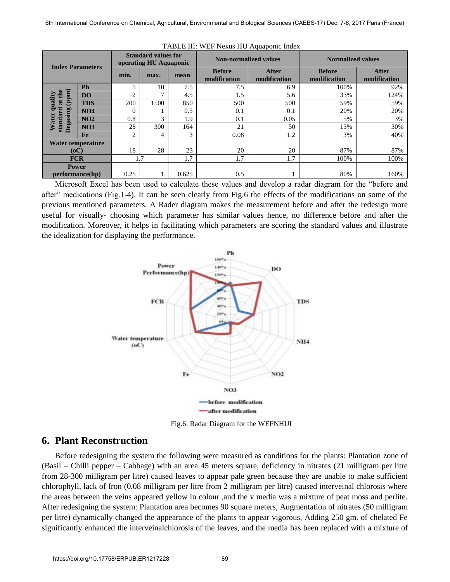| <b>Index Parameters</b>           |                   |                | <b>Standard values for</b><br>operating HU Aquaponic |       | <b>Non-normalized values</b>  |                              | <b>Normalized values</b>      |                              |
|-----------------------------------|-------------------|----------------|------------------------------------------------------|-------|-------------------------------|------------------------------|-------------------------------|------------------------------|
|                                   |                   | min.           | max.                                                 | mean  | <b>Before</b><br>modification | <b>After</b><br>modification | <b>Before</b><br>modification | <b>After</b><br>modification |
|                                   | Ph                | 5              | 10                                                   | 7.5   | 7.5                           | 6.9                          | 100%                          | 92%                          |
| (mdd)<br>톱                        | <b>DO</b>         | C              | ⇁                                                    | 4.5   | 1.5                           | 5.6                          | 33%                           | 124%                         |
| uality<br>$\overline{\mathbf{a}}$ | <b>TDS</b>        | 200            | 1500                                                 | 850   | 500                           | 500                          | 59%                           | 59%                          |
| ೦                                 | <b>NH4</b>        |                |                                                      | 0.5   | 0.1                           | 0.1                          | 20%                           | 20%                          |
| dar                               | NO <sub>2</sub>   | 0.8            | 3                                                    | 1.9   | 0.1                           | 0.05                         | 5%                            | 3%                           |
| Degasing<br>Water<br>stan         | NO <sub>3</sub>   | 28             | 300                                                  | 164   | 21                            | 50                           | 13%                           | 30%                          |
|                                   | Fe                | $\overline{2}$ | 4                                                    | 3     | 0.08                          | 1.2                          | 3%                            | 40%                          |
|                                   | Water temperature |                |                                                      |       |                               |                              |                               |                              |
| (oC)                              |                   | 18             | 28                                                   | 23    | 20                            | 20                           | 87%                           | 87%                          |
| <b>FCR</b>                        |                   | 1.7            |                                                      | 1.7   | 1.7                           | 1.7                          | 100%                          | 100%                         |
| <b>Power</b>                      |                   |                |                                                      |       |                               |                              |                               |                              |
| performance(hp)                   |                   | 0.25           |                                                      | 0.625 | 0.5                           |                              | 80%                           | 160%                         |

| TABLE III: WEF Nexus HU Aquaponic Index |
|-----------------------------------------|
|-----------------------------------------|

Microsoft Excel has been used to calculate these values and develop a radar diagram for the "before and after" medications (Fig.1-4). It can be seen clearly from Fig.6 the effects of the modifications on some of the previous mentioned parameters. A Rader diagram makes the measurement before and after the redesign more useful for visually- choosing which parameter has similar values hence, no difference before and after the modification. Moreover, it helps in facilitating which parameters are scoring the standard values and illustrate the idealization for displaying the performance.



Fig.6: Radar Diagram for the WEFNHUI

### **6. Plant Reconstruction**

Before redesigning the system the following were measured as conditions for the plants: Plantation zone of (Basil – Chilli pepper – Cabbage) with an area 45 meters square, deficiency in nitrates (21 milligram per litre from 28-300 milligram per litre) caused leaves to appear pale green because they are unable to make sufficient chlorophyll, lack of Iron (0.08 milligram per litre from 2 milligram per litre) caused interveinal chlorosis where the areas between the veins appeared yellow in colour ,and the v media was a mixture of peat moss and perlite. After redesigning the system: Plantation area becomes 90 square meters, Augmentation of nitrates (50 milligram per litre) dynamically changed the appearance of the plants to appear vigorous, Adding 250 gm. of chelated Fe significantly enhanced the interveinalchlorosis of the leaves, and the media has been replaced with a mixture of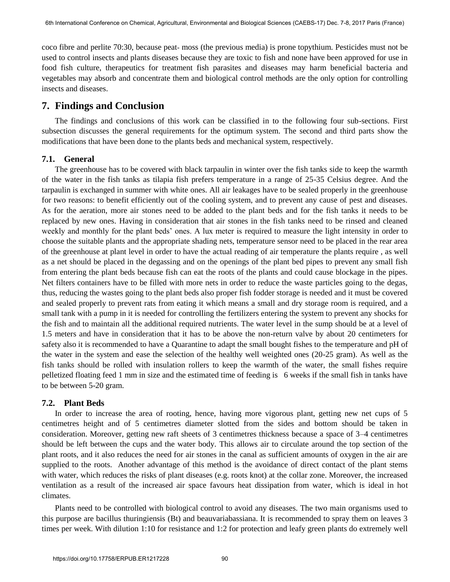coco fibre and perlite 70:30, because peat- moss (the previous media) is prone topythium. Pesticides must not be used to control insects and plants diseases because they are toxic to fish and none have been approved for use in food fish culture, therapeutics for treatment fish parasites and diseases may harm beneficial bacteria and vegetables may absorb and concentrate them and biological control methods are the only option for controlling insects and diseases.

### **7. Findings and Conclusion**

The findings and conclusions of this work can be classified in to the following four sub-sections. First subsection discusses the general requirements for the optimum system. The second and third parts show the modifications that have been done to the plants beds and mechanical system, respectively.

#### **7.1. General**

The greenhouse has to be covered with black tarpaulin in winter over the fish tanks side to keep the warmth of the water in the fish tanks as tilapia fish prefers temperature in a range of 25-35 Celsius degree. And the tarpaulin is exchanged in summer with white ones. All air leakages have to be sealed properly in the greenhouse for two reasons: to benefit efficiently out of the cooling system, and to prevent any cause of pest and diseases. As for the aeration, more air stones need to be added to the plant beds and for the fish tanks it needs to be replaced by new ones. Having in consideration that air stones in the fish tanks need to be rinsed and cleaned weekly and monthly for the plant beds' ones. A lux meter is required to measure the light intensity in order to choose the suitable plants and the appropriate shading nets, temperature sensor need to be placed in the rear area of the greenhouse at plant level in order to have the actual reading of air temperature the plants require , as well as a net should be placed in the degassing and on the openings of the plant bed pipes to prevent any small fish from entering the plant beds because fish can eat the roots of the plants and could cause blockage in the pipes. Net filters containers have to be filled with more nets in order to reduce the waste particles going to the degas, thus, reducing the wastes going to the plant beds also proper fish fodder storage is needed and it must be covered and sealed properly to prevent rats from eating it which means a small and dry storage room is required, and a small tank with a pump in it is needed for controlling the fertilizers entering the system to prevent any shocks for the fish and to maintain all the additional required nutrients. The water level in the sump should be at a level of 1.5 meters and have in consideration that it has to be above the non-return valve by about 20 centimeters for safety also it is recommended to have a Quarantine to adapt the small bought fishes to the temperature and pH of the water in the system and ease the selection of the healthy well weighted ones (20-25 gram). As well as the fish tanks should be rolled with insulation rollers to keep the warmth of the water, the small fishes require pelletized floating feed 1 mm in size and the estimated time of feeding is 6 weeks if the small fish in tanks have to be between 5-20 gram.

#### **7.2. Plant Beds**

In order to increase the area of rooting, hence, having more vigorous plant, getting new net cups of 5 centimetres height and of 5 centimetres diameter slotted from the sides and bottom should be taken in consideration. Moreover, getting new raft sheets of 3 centimetres thickness because a space of 3–4 centimetres should be left between the cups and the water body. This allows air to circulate around the top section of the plant roots, and it also reduces the need for air stones in the canal as sufficient amounts of oxygen in the air are supplied to the roots. Another advantage of this method is the avoidance of direct contact of the plant stems with water, which reduces the risks of plant diseases (e.g. roots knot) at the collar zone. Moreover, the increased ventilation as a result of the increased air space favours heat dissipation from water, which is ideal in hot climates.

Plants need to be controlled with biological control to avoid any diseases. The two main organisms used to this purpose are bacillus thuringiensis (Bt) and beauvariabassiana. It is recommended to spray them on leaves 3 times per week. With dilution 1:10 for resistance and 1:2 for protection and leafy green plants do extremely well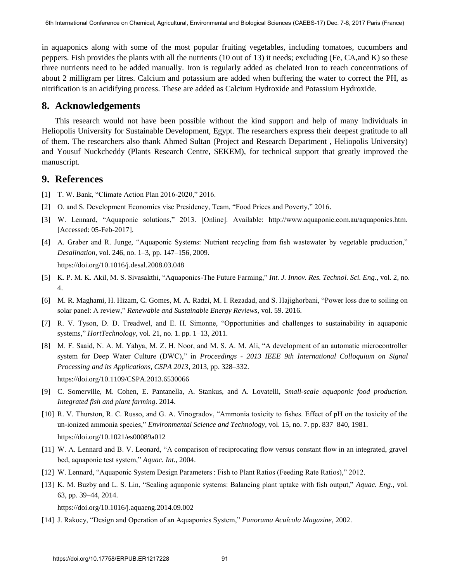in aquaponics along with some of the most popular fruiting vegetables, including tomatoes, cucumbers and peppers. Fish provides the plants with all the nutrients (10 out of 13) it needs; excluding (Fe, CA,and K) so these three nutrients need to be added manually. Iron is regularly added as chelated Iron to reach concentrations of about 2 milligram per litres. Calcium and potassium are added when buffering the water to correct the PH, as nitrification is an acidifying process. These are added as Calcium Hydroxide and Potassium Hydroxide.

### **8. Acknowledgements**

This research would not have been possible without the kind support and help of many individuals in Heliopolis University for Sustainable Development, Egypt. The researchers express their deepest gratitude to all of them. The researchers also thank Ahmed Sultan (Project and Research Department , Heliopolis University) and Yousuf Nuckcheddy (Plants Research Centre, SEKEM), for technical support that greatly improved the manuscript.

### **9. References**

- [1] T. W. Bank, "Climate Action Plan 2016-2020," 2016.
- [2] O. and S. Development Economics visc Presidency, Team, "Food Prices and Poverty," 2016.
- [3] W. Lennard, "Aquaponic solutions," 2013. [Online]. Available: http://www.aquaponic.com.au/aquaponics.htm. [Accessed: 05-Feb-2017].
- [4] A. Graber and R. Junge, "Aquaponic Systems: Nutrient recycling from fish wastewater by vegetable production," *Desalination*, vol. 246, no. 1–3, pp. 147–156, 2009. https://doi.org/10.1016/j.desal.2008.03.048
- [5] K. P. M. K. Akil, M. S. Sivasakthi, "Aquaponics-The Future Farming," *Int. J. Innov. Res. Technol. Sci. Eng.*, vol. 2, no. 4.
- [6] M. R. Maghami, H. Hizam, C. Gomes, M. A. Radzi, M. I. Rezadad, and S. Hajighorbani, "Power loss due to soiling on solar panel: A review," *Renewable and Sustainable Energy Reviews*, vol. 59. 2016.
- [7] R. V. Tyson, D. D. Treadwel, and E. H. Simonne, "Opportunities and challenges to sustainability in aquaponic systems," *HortTechnology*, vol. 21, no. 1. pp. 1–13, 2011.
- [8] M. F. Saaid, N. A. M. Yahya, M. Z. H. Noor, and M. S. A. M. Ali, "A development of an automatic microcontroller system for Deep Water Culture (DWC)," in *Proceedings - 2013 IEEE 9th International Colloquium on Signal Processing and its Applications, CSPA 2013*, 2013, pp. 328–332. https://doi.org/10.1109/CSPA.2013.6530066
- [9] C. Somerville, M. Cohen, E. Pantanella, A. Stankus, and A. Lovatelli, *Small-scale aquaponic food production. Integrated fish and plant farming*. 2014.
- [10] R. V. Thurston, R. C. Russo, and G. A. Vinogradov, "Ammonia toxicity to fishes. Effect of pH on the toxicity of the un-ionized ammonia species," *Environmental Science and Technology*, vol. 15, no. 7. pp. 837–840, 1981. https://doi.org/10.1021/es00089a012
- [11] W. A. Lennard and B. V. Leonard, "A comparison of reciprocating flow versus constant flow in an integrated, gravel bed, aquaponic test system," *Aquac. Int.*, 2004.
- [12] W. Lennard, "Aquaponic System Design Parameters : Fish to Plant Ratios (Feeding Rate Ratios)," 2012.
- [13] K. M. Buzby and L. S. Lin, "Scaling aquaponic systems: Balancing plant uptake with fish output," *Aquac. Eng.*, vol. 63, pp. 39–44, 2014.

https://doi.org/10.1016/j.aquaeng.2014.09.002

[14] J. Rakocy, "Design and Operation of an Aquaponics System," *Panorama Acuícola Magazine*, 2002.